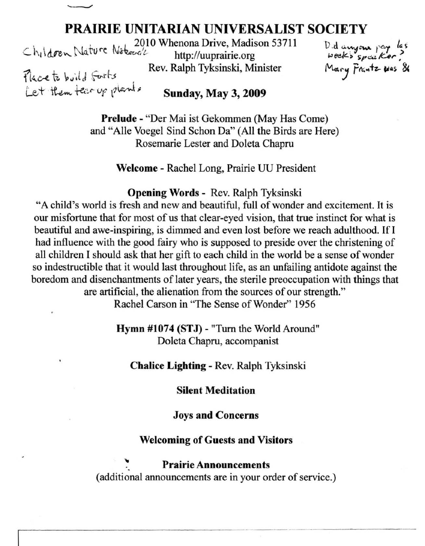

# **PRAIRIE UNITARIAN UNIVERSALIST SOCIETY**<br>2010 Whenona Drive, Madison 53711 D.d. aways

 $Ch_1 \$ dren, Nature Notwood http://uuprairie.org Rev. Ralph Tyksinski, Minister Rev. Ralph Tyksinski, Minister

 $D.d$  anyone pay las week's speaker? Mary Frantz was 86

Let them tear up plants Sunday, May 3, 2009

Prelude - "Der Mai ist Gekornmen (May Has Come) and "Aile Voegel Sind Schon Da" (All the Birds are Here) Rosemarie Lester and Doleta Chapru

Welcome - Rachel Long, Prairie UU President

Opening Words - Rev. Ralph Tyksinski

"A child's world is fresh and new and beautiful, full of wonder and excitement. It is our misfortune that for most of us that clear-eyed vision, that true instinct for what is beautiful and awe-inspiring, is dimmed and even lost before we reach adulthood. If I had influence with the good fairy who is supposed to preside over the christening of all children I should ask that her gift to each child in the world be a sense of wonder so indestructible that it would last throughout life, as an unfailing antidote against the boredom and disenchantments of later years, the sterile preoccupation with things that are artificial, the alienation from the sources of our strength."

Rachel Carson in "The Sense of Wonder" 1956

Hymn #1074 (STJ) - "Tum the World Around" Doleta Chapru, accompanist

Chalice Lighting - Rev. Ralph Tyksinski

Silent Meditation

Joys and Concerns

## Welcoming of Guests and Visitors

Prairie Announcements<br>(additional announcements are in your order of service.)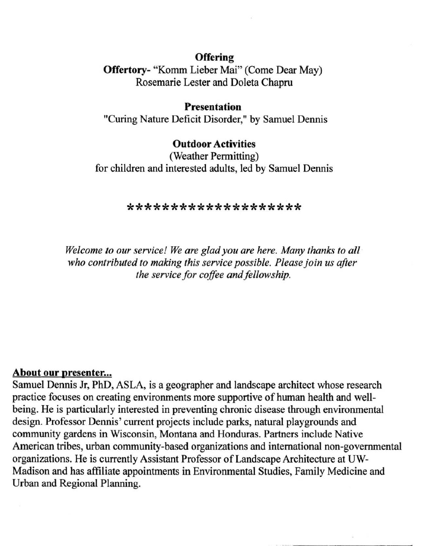# **Offering**

**Offertory-** "Komm Lieber Mai" (Come Dear May) Rosemarie Lester and Doleta Chapru

# **Presentation**

"Curing Nature Deficit Disorder," by Samuel Dennis

# **Outdoor Activities**

(Weather Permitting) for children and interested adults, led by Samuel Dennis

#### **\*\*\*\*\*\*\*\*\*\*\*\*\*\*\*\*\*\*\*\***

*Welcome to our service! We are glad you are here. Many thanks to all who contributed* 10 *making this service possible. Please join us after the service for coffee and fellowship.* 

# **About our presenter...**

Samuel Dennis Jr, PhD, ASLA, is a geographer and landscape architect whose research practice focuses on creating environments more supportive of human health and wellbeing. He is particularly interested in preventing chronic disease through environmental design. Professor Dennis' current projects include parks, natural playgrounds and community gardens in Wisconsin, Montana and Honduras. Partners include Native American tribes, urban community-based organizations and international non-governmental organizations. He is currently Assistant Professor of Landscape Architecture at UW-Madison and has affiliate appointments **in** Environmental Studies, Family Medicine and Urban and Regional Planning.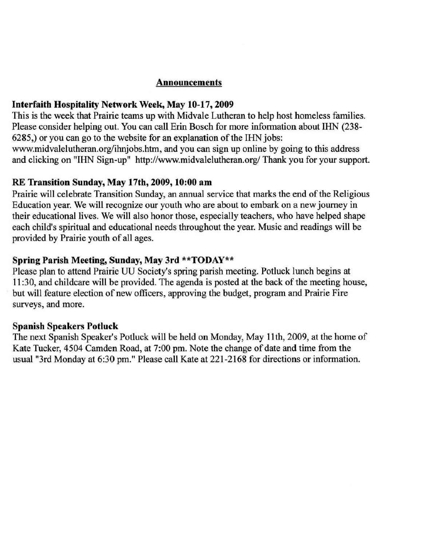## **Announcements**

## Interfaith Hospitality Network Week, May 10-17,2009

This is the week that Prairie teams up with Midvale Lutheran to help host homeless families. Please consider helping out. You can call Erin Bosch for more information about IHN (238- 6285,) or you can go to the website for an explanation of the IHN jobs: www.midvalelutheran.org/ihnjobs.htm, and you can sign up online by going to this address and clicking on "IHN Sign-up" http://www.midvalelutheran.org/ Thank you for your support.

### RE Transition Sunday, May 17th, 2009, 10:00 am

Prairie will celebrate Transition Sunday, an annual service that marks the end of the Religious Education year. We will recognize our youth who are about to embark on a new journey in their educational lives. We will also honor those, especially teachers, who have helped shape each child's spiritual and educational needs throughout the year. Music and readings will be provided by Prairie youth of all ages.

## Spring Parish Meeting, Sunday, May 3rd \*\*TODAY\*\*

Please plan to attend Prairie UU Society's spring parish meeting. Potluck lunch begins at II :30, and childcare will be provided. The agenda is posted at the back of the meeting house, but will feature election of new officers, approving the budget, program and Prairie Fire **surveys, and more.** 

# Spanish Speakers Potluck

The next Spanish Speaker's Potluck will be held on Monday, May II th, 2009, at the home of Kate Tucker, 4504 Camden Road, at 7:00 pm. Note the change of date and time from the usual "3rd Monday at 6:30 pm." Please call Kate at 221-2168 for directions or information.